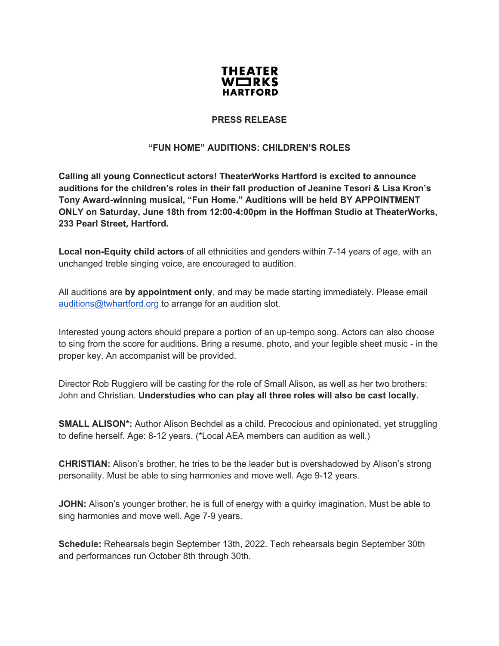

## **PRESS RELEASE**

## **"FUN HOME" AUDITIONS: CHILDREN'S ROLES**

**Calling all young Connecticut actors! TheaterWorks Hartford is excited to announce auditions for the children's roles in their fall production of Jeanine Tesori & Lisa Kron's Tony Award-winning musical, "Fun Home." Auditions will be held BY APPOINTMENT ONLY on Saturday, June 18th from 12:00-4:00pm in the Hoffman Studio at TheaterWorks, 233 Pearl Street, Hartford.**

**Local non-Equity child actors** of all ethnicities and genders within 7-14 years of age, with an unchanged treble singing voice, are encouraged to audition.

All auditions are **by appointment only**, and may be made starting immediately. Please email auditions@twhartford.org to arrange for an audition slot.

Interested young actors should prepare a portion of an up-tempo song. Actors can also choose to sing from the score for auditions. Bring a resume, photo, and your legible sheet music - in the proper key. An accompanist will be provided.

Director Rob Ruggiero will be casting for the role of Small Alison, as well as her two brothers: John and Christian. **Understudies who can play all three roles will also be cast locally.**

**SMALL ALISON\*:** Author Alison Bechdel as a child. Precocious and opinionated, yet struggling to define herself. Age: 8-12 years. (\*Local AEA members can audition as well.)

**CHRISTIAN:** Alison's brother, he tries to be the leader but is overshadowed by Alison's strong personality. Must be able to sing harmonies and move well. Age 9-12 years.

**JOHN:** Alison's younger brother, he is full of energy with a quirky imagination. Must be able to sing harmonies and move well. Age 7-9 years.

**Schedule:** Rehearsals begin September 13th, 2022. Tech rehearsals begin September 30th and performances run October 8th through 30th.